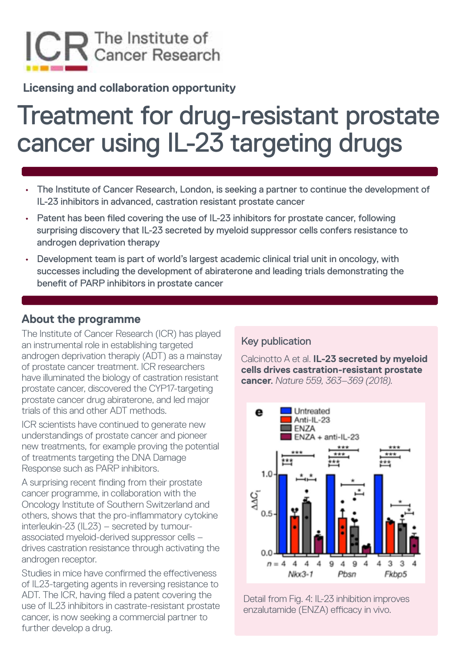

**Licensing and collaboration opportunity** 

# Treatment for drug-resistant prostate cancer using IL-23 targeting drugs

- The Institute of Cancer Research, London, is seeking a partner to continue the development of IL-23 inhibitors in advanced, castration resistant prostate cancer
- Patent has been filed covering the use of IL-23 inhibitors for prostate cancer, following surprising discovery that IL-23 secreted by myeloid suppressor cells confers resistance to androgen deprivation therapy
- Development team is part of world's largest academic clinical trial unit in oncology, with successes including the development of abiraterone and leading trials demonstrating the benefit of PARP inhibitors in prostate cancer

#### **About the programme**

The Institute of Cancer Research (ICR) has played an instrumental role in establishing targeted androgen deprivation therapiy (ADT) as a mainstay of prostate cancer treatment. ICR researchers have illuminated the biology of castration resistant prostate cancer, discovered the CYP17-targeting prostate cancer drug abiraterone, and led major trials of this and other ADT methods.

ICR scientists have continued to generate new understandings of prostate cancer and pioneer new treatments, for example proving the potential of treatments targeting the DNA Damage Response such as PARP inhibitors.

A surprising recent finding from their prostate cancer programme, in collaboration with the Oncology Institute of Southern Switzerland and others, shows that the pro-inflammatory cytokine interleukin-23 (IL23) – secreted by tumourassociated myeloid-derived suppressor cells – drives castration resistance through activating the androgen receptor.

Studies in mice have confirmed the effectiveness of IL23-targeting agents in reversing resistance to ADT. The ICR, having filed a patent covering the use of IL23 inhibitors in castrate-resistant prostate cancer, is now seeking a commercial partner to further develop a drug.

#### Key publication

Calcinotto A et al. **IL-23 secreted by myeloid cells drives castration-resistant prostate cancer**. *Nature 559, 363–369 (2018).*



Detail from Fig. 4: IL-23 inhibition improves enzalutamide (ENZA) efficacy in vivo.